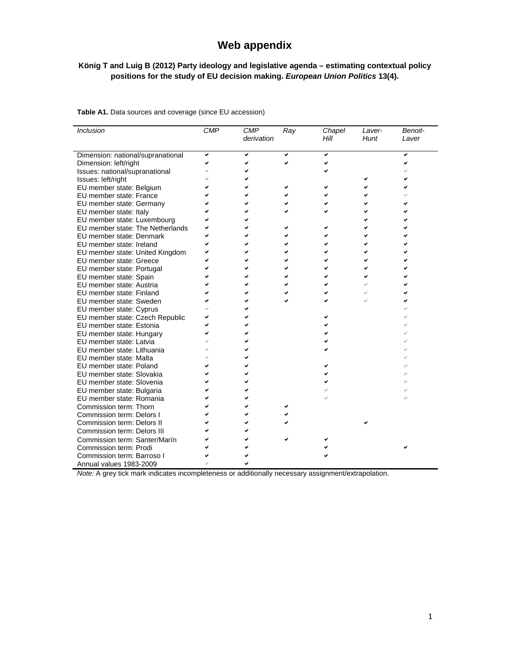## **Web appendix**

## **König T and Luig B (2012) Party ideology and legislative agenda – estimating contextual policy positions for the study of EU decision making.** *European Union Politics* **13(4).**

| <b>Inclusion</b>                  | <b>CMP</b> | <b>CMP</b><br>derivation | Ray | Chapel<br>Hill | Laver-<br>Hunt | Benoit-<br>Laver |
|-----------------------------------|------------|--------------------------|-----|----------------|----------------|------------------|
| Dimension: national/supranational | ✓          | ✓                        |     |                |                |                  |
| Dimension: left/right             |            |                          |     |                |                |                  |
| Issues: national/supranational    |            |                          |     |                |                |                  |
| Issues: left/right                |            |                          |     |                |                |                  |
| EU member state: Belgium          |            |                          |     |                |                |                  |
| EU member state: France           |            |                          |     |                |                |                  |
| EU member state: Germany          |            |                          |     |                |                |                  |
| EU member state: Italy            |            |                          |     |                |                |                  |
| EU member state: Luxembourg       |            |                          |     |                |                |                  |
| EU member state: The Netherlands  |            |                          |     |                |                |                  |
| EU member state: Denmark          |            |                          |     |                |                |                  |
| EU member state: Ireland          |            |                          |     |                |                |                  |
| EU member state: United Kingdom   |            |                          |     |                |                |                  |
| EU member state: Greece           |            |                          |     |                |                |                  |
| EU member state: Portugal         |            |                          |     |                |                |                  |
| EU member state: Spain            |            |                          |     |                |                |                  |
| EU member state: Austria          |            |                          |     |                |                |                  |
| EU member state: Finland          |            |                          |     |                |                |                  |
| EU member state: Sweden           |            |                          |     |                |                |                  |
| EU member state: Cyprus           |            |                          |     |                |                |                  |
| EU member state: Czech Republic   |            |                          |     |                |                |                  |
| EU member state: Estonia          |            |                          |     |                |                |                  |
| EU member state: Hungary          |            |                          |     |                |                |                  |
| EU member state: Latvia           |            |                          |     |                |                |                  |
| EU member state: Lithuania        |            |                          |     |                |                |                  |
| EU member state: Malta            |            |                          |     |                |                |                  |
| EU member state: Poland           |            |                          |     |                |                |                  |
| EU member state: Slovakia         |            |                          |     |                |                |                  |
| EU member state: Slovenia         |            |                          |     |                |                |                  |
| EU member state: Bulgaria         |            |                          |     |                |                |                  |
| EU member state: Romania          |            |                          |     |                |                |                  |
| Commission term: Thorn            |            |                          |     |                |                |                  |
| Commission term: Delors I         |            |                          |     |                |                |                  |
| Commission term: Delors II        |            |                          |     |                |                |                  |
| Commission term: Delors III       |            |                          |     |                |                |                  |
| Commission term: Santer/Marín     |            |                          |     |                |                |                  |
| Commission term: Prodi            |            |                          |     |                |                |                  |
| Commission term: Barroso I        |            |                          |     |                |                |                  |
| Annual values 1983-2009           |            |                          |     |                |                |                  |

**Table A1.** Data sources and coverage (since EU accession)

*Note:* A grey tick mark indicates incompleteness or additionally necessary assignment/extrapolation.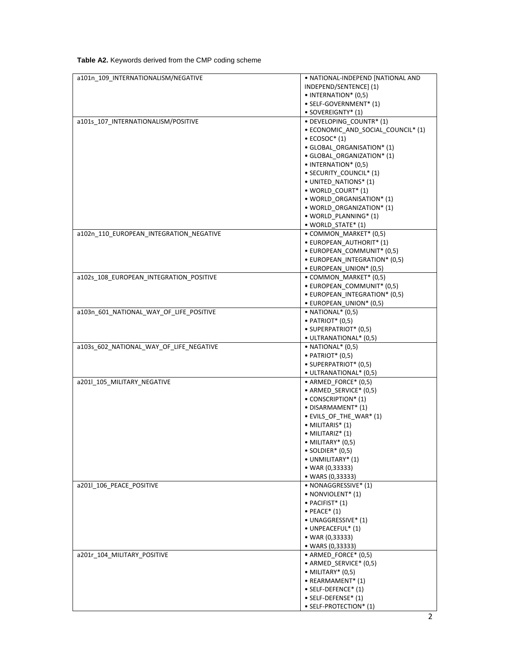| <b>Table A2.</b> Keywords derived from the CMP coding scheme |  |  |  |
|--------------------------------------------------------------|--|--|--|
|--------------------------------------------------------------|--|--|--|

| a101n_109_INTERNATIONALISM/NEGATIVE     | • NATIONAL-INDEPEND [NATIONAL AND  |
|-----------------------------------------|------------------------------------|
|                                         |                                    |
|                                         | INDEPEND/SENTENCE] (1)             |
|                                         | • INTERNATION* (0,5)               |
|                                         | · SELF-GOVERNMENT* (1)             |
|                                         | • SOVEREIGNTY* (1)                 |
| a101s 107 INTERNATIONALISM/POSITIVE     | • DEVELOPING COUNTR* (1)           |
|                                         |                                    |
|                                         | • ECONOMIC_AND_SOCIAL_COUNCIL* (1) |
|                                         | $\bullet$ ECOSOC* (1)              |
|                                         | · GLOBAL_ORGANISATION* (1)         |
|                                         | · GLOBAL ORGANIZATION* (1)         |
|                                         | • INTERNATION* (0,5)               |
|                                         |                                    |
|                                         | • SECURITY_COUNCIL* (1)            |
|                                         | · UNITED NATIONS* (1)              |
|                                         | · WORLD_COURT* (1)                 |
|                                         | . WORLD ORGANISATION* (1)          |
|                                         | . WORLD ORGANIZATION* (1)          |
|                                         | • WORLD_PLANNING* (1)              |
|                                         |                                    |
|                                         | • WORLD_STATE* (1)                 |
| a102n_110_EUROPEAN_INTEGRATION_NEGATIVE | • COMMON MARKET* (0,5)             |
|                                         | • EUROPEAN_AUTHORIT* (1)           |
|                                         | • EUROPEAN COMMUNIT* (0,5)         |
|                                         | • EUROPEAN_INTEGRATION* (0,5)      |
|                                         |                                    |
|                                         | · EUROPEAN_UNION* (0,5)            |
| a102s 108 EUROPEAN INTEGRATION POSITIVE | • COMMON MARKET* (0,5)             |
|                                         | · EUROPEAN_COMMUNIT* (0,5)         |
|                                         | • EUROPEAN_INTEGRATION* (0,5)      |
|                                         | · EUROPEAN_UNION* (0,5)            |
|                                         |                                    |
| a103n_601_NATIONAL_WAY_OF_LIFE_POSITIVE | $\bullet$ NATIONAL $^*(0,5)$       |
|                                         | $\bullet$ PATRIOT* (0,5)           |
|                                         | · SUPERPATRIOT* (0,5)              |
|                                         | · ULTRANATIONAL* (0,5)             |
| a103s 602 NATIONAL WAY OF LIFE NEGATIVE | $\bullet$ NATIONAL $^*(0,5)$       |
|                                         | $\bullet$ PATRIOT* (0,5)           |
|                                         | · SUPERPATRIOT* (0,5)              |
|                                         |                                    |
|                                         | • ULTRANATIONAL* (0,5)             |
| a201l_105_MILITARY_NEGATIVE             | • ARMED_FORCE* (0,5)               |
|                                         | • ARMED_SERVICE* (0,5)             |
|                                         | $\bullet$ CONSCRIPTION* (1)        |
|                                         | · DISARMAMENT* (1)                 |
|                                         |                                    |
|                                         | • EVILS_OF_THE_WAR* (1)            |
|                                         | $\bullet$ MILITARIS $^{*}$ (1)     |
|                                         | $\bullet$ MILITARIZ* (1)           |
|                                         | • MILITARY* (0,5)                  |
|                                         | $\bullet$ SOLDIER* (0,5)           |
|                                         | · UNMILITARY* (1)                  |
|                                         |                                    |
|                                         | • WAR (0,33333)                    |
|                                         | • WARS (0,33333)                   |
| a201l_106_PEACE_POSITIVE                | • NONAGGRESSIVE* (1)               |
|                                         | • NONVIOLENT* (1)                  |
|                                         | · PACIFIST* (1)                    |
|                                         | $\bullet$ PEACE* (1)               |
|                                         |                                    |
|                                         | • UNAGGRESSIVE* (1)                |
|                                         | • UNPEACEFUL* (1)                  |
|                                         | • WAR (0,33333)                    |
|                                         | • WARS (0,33333)                   |
| a201r_104_MILITARY_POSITIVE             | • ARMED_FORCE* (0,5)               |
|                                         | • ARMED_SERVICE* (0,5)             |
|                                         |                                    |
|                                         |                                    |
|                                         | $\bullet$ MILITARY* (0,5)          |
|                                         | • REARMAMENT* (1)                  |
|                                         | • SELF-DEFENCE* (1)                |
|                                         | • SELF-DEFENSE* (1)                |
|                                         | • SELF-PROTECTION* (1)             |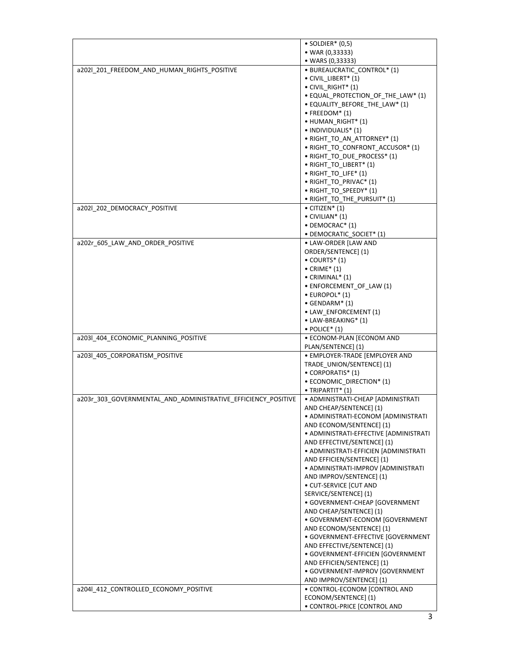|                                                               | $\bullet$ SOLDIER* (0,5)                             |
|---------------------------------------------------------------|------------------------------------------------------|
|                                                               | • WAR (0,33333)                                      |
|                                                               | • WARS (0,33333)                                     |
| a202l 201 FREEDOM AND HUMAN RIGHTS POSITIVE                   | · BUREAUCRATIC_CONTROL* (1)                          |
|                                                               | • CIVIL LIBERT* (1)                                  |
|                                                               | • CIVIL_RIGHT* (1)                                   |
|                                                               | • EQUAL_PROTECTION_OF_THE_LAW* (1)                   |
|                                                               | · EQUALITY_BEFORE_THE_LAW* (1)                       |
|                                                               | $\bullet$ FREEDOM* (1)                               |
|                                                               | • HUMAN_RIGHT* (1)                                   |
|                                                               | • INDIVIDUALIS* (1)                                  |
|                                                               | • RIGHT TO AN ATTORNEY* (1)                          |
|                                                               | • RIGHT_TO_CONFRONT_ACCUSOR* (1)                     |
|                                                               | • RIGHT TO DUE PROCESS* (1)                          |
|                                                               | • RIGHT_TO_LIBERT* (1)                               |
|                                                               | • RIGHT_TO_LIFE* (1)                                 |
|                                                               | • RIGHT_TO_PRIVAC* (1)                               |
|                                                               | • RIGHT_TO_SPEEDY* (1)                               |
|                                                               | • RIGHT_TO_THE_PURSUIT* (1)                          |
| a202l 202 DEMOCRACY POSITIVE                                  | $\bullet$ CITIZEN* (1)                               |
|                                                               | $\bullet$ CIVILIAN* (1)                              |
|                                                               |                                                      |
|                                                               | • DEMOCRAC* (1)                                      |
|                                                               | • DEMOCRATIC_SOCIET* (1)                             |
| a202r 605 LAW AND ORDER POSITIVE                              | • LAW-ORDER [LAW AND                                 |
|                                                               | ORDER/SENTENCE] (1)                                  |
|                                                               | $\bullet$ COURTS* (1)                                |
|                                                               | $\bullet$ CRIME* (1)                                 |
|                                                               | $\bullet$ CRIMINAL $*$ (1)                           |
|                                                               | • ENFORCEMENT OF LAW (1)                             |
|                                                               | $\bullet$ EUROPOL $^*(1)$                            |
|                                                               | $\bullet$ GENDARM* (1)                               |
|                                                               | • LAW_ENFORCEMENT (1)                                |
|                                                               | • LAW-BREAKING* (1)                                  |
|                                                               | $\bullet$ POLICE* (1)                                |
| a203l_404_ECONOMIC_PLANNING_POSITIVE                          | · ECONOM-PLAN [ECONOM AND                            |
|                                                               | PLAN/SENTENCE] (1)                                   |
| a203l_405_CORPORATISM_POSITIVE                                | · EMPLOYER-TRADE [EMPLOYER AND                       |
|                                                               | TRADE_UNION/SENTENCE] (1)                            |
|                                                               | • CORPORATIS* (1)                                    |
|                                                               | • ECONOMIC_DIRECTION* (1)                            |
|                                                               | · TRIPARTIT* (1)                                     |
| a203r_303_GOVERNMENTAL_AND_ADMINISTRATIVE_EFFICIENCY_POSITIVE | • ADMINISTRATI-CHEAP [ADMINISTRATI                   |
|                                                               | AND CHEAP/SENTENCE] (1)                              |
|                                                               | • ADMINISTRATI-ECONOM [ADMINISTRATI                  |
|                                                               | AND ECONOM/SENTENCE] (1)                             |
|                                                               | · ADMINISTRATI-EFFECTIVE [ADMINISTRATI               |
|                                                               | AND EFFECTIVE/SENTENCE] (1)                          |
|                                                               | • ADMINISTRATI-EFFICIEN [ADMINISTRATI                |
|                                                               | AND EFFICIEN/SENTENCE] (1)                           |
|                                                               | · ADMINISTRATI-IMPROV [ADMINISTRATI                  |
|                                                               | AND IMPROV/SENTENCE] (1)                             |
|                                                               |                                                      |
|                                                               |                                                      |
|                                                               | · CUT-SERVICE [CUT AND                               |
|                                                               | SERVICE/SENTENCE] (1)                                |
|                                                               | · GOVERNMENT-CHEAP [GOVERNMENT                       |
|                                                               | AND CHEAP/SENTENCE] (1)                              |
|                                                               | · GOVERNMENT-ECONOM [GOVERNMENT                      |
|                                                               | AND ECONOM/SENTENCE] (1)                             |
|                                                               | · GOVERNMENT-EFFECTIVE [GOVERNMENT                   |
|                                                               | AND EFFECTIVE/SENTENCE] (1)                          |
|                                                               | · GOVERNMENT-EFFICIEN [GOVERNMENT                    |
|                                                               | AND EFFICIEN/SENTENCE] (1)                           |
|                                                               | · GOVERNMENT-IMPROV [GOVERNMENT                      |
|                                                               | AND IMPROV/SENTENCE] (1)                             |
| a204l_412_CONTROLLED_ECONOMY_POSITIVE                         | · CONTROL-ECONOM [CONTROL AND                        |
|                                                               | ECONOM/SENTENCE] (1)<br>• CONTROL-PRICE [CONTROL AND |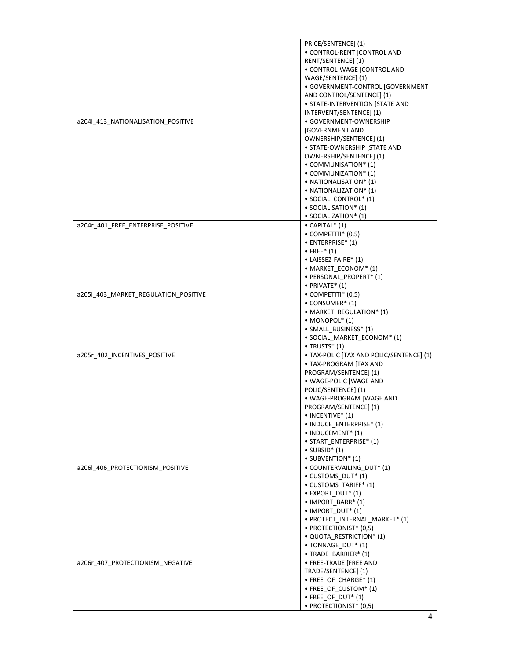|                                      | PRICE/SENTENCE] (1)                          |
|--------------------------------------|----------------------------------------------|
|                                      | · CONTROL-RENT [CONTROL AND                  |
|                                      | RENT/SENTENCE] (1)                           |
|                                      | • CONTROL-WAGE [CONTROL AND                  |
|                                      | WAGE/SENTENCE] (1)                           |
|                                      | · GOVERNMENT-CONTROL [GOVERNMENT             |
|                                      | AND CONTROL/SENTENCE] (1)                    |
|                                      | • STATE-INTERVENTION [STATE AND              |
|                                      | INTERVENT/SENTENCE] (1)                      |
| a204l_413_NATIONALISATION_POSITIVE   | • GOVERNMENT-OWNERSHIP                       |
|                                      |                                              |
|                                      | <b>GOVERNMENT AND</b>                        |
|                                      | OWNERSHIP/SENTENCE] (1)                      |
|                                      | · STATE-OWNERSHIP [STATE AND                 |
|                                      | OWNERSHIP/SENTENCE] (1)                      |
|                                      | • COMMUNISATION* (1)                         |
|                                      | • COMMUNIZATION* (1)                         |
|                                      | • NATIONALISATION* (1)                       |
|                                      | $\bullet$ NATIONALIZATION* (1)               |
|                                      | · SOCIAL CONTROL* (1)                        |
|                                      | • SOCIALISATION* (1)                         |
|                                      | • SOCIALIZATION* (1)                         |
| a204r_401_FREE_ENTERPRISE_POSITIVE   | $\bullet$ CAPITAL* (1)                       |
|                                      | $\bullet$ COMPETITI* (0,5)                   |
|                                      | • ENTERPRISE* (1)                            |
|                                      | $\bullet$ FREE* (1)                          |
|                                      | • LAISSEZ-FAIRE* (1)                         |
|                                      | • MARKET ECONOM* (1)                         |
|                                      |                                              |
|                                      | · PERSONAL_PROPERT* (1)                      |
|                                      | $\bullet$ PRIVATE* (1)                       |
| a205l_403_MARKET_REGULATION_POSITIVE | $\bullet$ COMPETITI* (0,5)                   |
|                                      | $\bullet$ CONSUMER* (1)                      |
|                                      | • MARKET_REGULATION* (1)                     |
|                                      | $\bullet$ MONOPOL $*$ (1)                    |
|                                      | · SMALL_BUSINESS* (1)                        |
|                                      | · SOCIAL_MARKET_ECONOM* (1)                  |
|                                      | $\bullet$ TRUSTS* $(1)$                      |
| a205r_402_INCENTIVES_POSITIVE        | · TAX-POLIC [TAX AND POLIC/SENTENCE] (1)     |
|                                      | · TAX-PROGRAM [TAX AND                       |
|                                      | PROGRAM/SENTENCE] (1)                        |
|                                      | · WAGE-POLIC [WAGE AND                       |
|                                      | POLIC/SENTENCE] (1)                          |
|                                      | · WAGE-PROGRAM [WAGE AND                     |
|                                      | PROGRAM/SENTENCE] (1)                        |
|                                      | $\bullet$ INCENTIVE* (1)                     |
|                                      |                                              |
|                                      |                                              |
|                                      | • INDUCE_ENTERPRISE* (1)                     |
|                                      | • INDUCEMENT* (1)                            |
|                                      | • START_ENTERPRISE* (1)                      |
|                                      | $\bullet$ SUBSID* (1)                        |
|                                      | • SUBVENTION* (1)                            |
| a206l_406_PROTECTIONISM_POSITIVE     | · COUNTERVAILING_DUT* (1)                    |
|                                      | • CUSTOMS DUT* (1)                           |
|                                      | • CUSTOMS TARIFF* (1)                        |
|                                      | · EXPORT_DUT* (1)                            |
|                                      | • IMPORT_BARR* (1)                           |
|                                      | $\bullet$ IMPORT DUT* (1)                    |
|                                      | · PROTECT_INTERNAL_MARKET* (1)               |
|                                      | • PROTECTIONIST* (0,5)                       |
|                                      | • QUOTA_RESTRICTION* (1)                     |
|                                      | • TONNAGE_DUT* (1)                           |
|                                      | · TRADE_BARRIER* (1)                         |
| a206r_407_PROTECTIONISM_NEGATIVE     | · FREE-TRADE [FREE AND                       |
|                                      | TRADE/SENTENCE] (1)                          |
|                                      |                                              |
|                                      | • FREE_OF_CHARGE* (1)                        |
|                                      | • FREE_OF_CUSTOM* (1)                        |
|                                      | • FREE_OF_DUT* (1)<br>• PROTECTIONIST* (0,5) |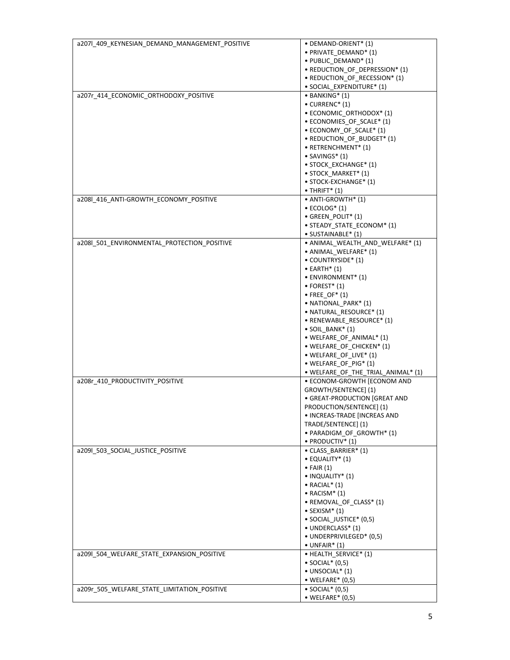| a207l_409_KEYNESIAN_DEMAND_MANAGEMENT_POSITIVE | • DEMAND-ORIENT* (1)                   |
|------------------------------------------------|----------------------------------------|
|                                                | · PRIVATE DEMAND* (1)                  |
|                                                | • PUBLIC_DEMAND* (1)                   |
|                                                | • REDUCTION OF DEPRESSION* (1)         |
|                                                | • REDUCTION_OF_RECESSION* (1)          |
|                                                | · SOCIAL EXPENDITURE* (1)              |
| a207r_414_ECONOMIC_ORTHODOXY_POSITIVE          | $\bullet$ BANKING* (1)                 |
|                                                | $\bullet$ CURRENC* (1)                 |
|                                                | • ECONOMIC_ORTHODOX* (1)               |
|                                                | • ECONOMIES OF SCALE* (1)              |
|                                                |                                        |
|                                                | • ECONOMY OF SCALE* (1)                |
|                                                | • REDUCTION_OF_BUDGET* (1)             |
|                                                | • RETRENCHMENT* (1)                    |
|                                                | $\bullet$ SAVINGS* (1)                 |
|                                                | • STOCK_EXCHANGE* (1)                  |
|                                                | • STOCK_MARKET* (1)                    |
|                                                | • STOCK-EXCHANGE* (1)                  |
|                                                | $\bullet$ THRIFT* (1)                  |
| a208l 416 ANTI-GROWTH ECONOMY POSITIVE         | • ANTI-GROWTH* (1)                     |
|                                                | $\bullet$ ECOLOG* (1)                  |
|                                                | • GREEN_POLIT* (1)                     |
|                                                | • STEADY STATE ECONOM* (1)             |
|                                                | · SUSTAINABLE* (1)                     |
| a208l 501 ENVIRONMENTAL PROTECTION POSITIVE    | · ANIMAL_WEALTH_AND_WELFARE* (1)       |
|                                                | • ANIMAL_WELFARE* (1)                  |
|                                                | • COUNTRYSIDE* (1)                     |
|                                                | $\bullet$ EARTH* (1)                   |
|                                                | $\bullet$ ENVIRONMENT <sup>*</sup> (1) |
|                                                | $\bullet$ FOREST* (1)                  |
|                                                | $\bullet$ FREE OF* (1)                 |
|                                                | • NATIONAL PARK* (1)                   |
|                                                |                                        |
|                                                | • NATURAL_RESOURCE* (1)                |
|                                                | • RENEWABLE_RESOURCE* (1)              |
|                                                | $\bullet$ SOIL_BANK* $(1)$             |
|                                                | • WELFARE_OF_ANIMAL* (1)               |
|                                                | • WELFARE OF CHICKEN* (1)              |
|                                                | • WELFARE_OF_LIVE* (1)                 |
|                                                | • WELFARE OF PIG* (1)                  |
|                                                | • WELFARE_OF_THE_TRIAL_ANIMAL* (1)     |
| a208r_410_PRODUCTIVITY_POSITIVE                | • ECONOM-GROWTH [ECONOM AND            |
|                                                | GROWTH/SENTENCE] (1)                   |
|                                                | · GREAT-PRODUCTION [GREAT AND          |
|                                                | PRODUCTION/SENTENCE] (1)               |
|                                                | • INCREAS-TRADE [INCREAS AND           |
|                                                | TRADE/SENTENCE] (1)                    |
|                                                | · PARADIGM_OF_GROWTH* (1)              |
|                                                | $\bullet$ PRODUCTIV* (1)               |
| a209l_503_SOCIAL_JUSTICE_POSITIVE              | • CLASS_BARRIER* (1)                   |
|                                                | $\bullet$ EQUALITY* (1)                |
|                                                | $\bullet$ FAIR (1)                     |
|                                                | · INQUALITY* (1)                       |
|                                                | $\bullet$ RACIAL* (1)                  |
|                                                | $\bullet$ RACISM* (1)                  |
|                                                | · REMOVAL OF CLASS* (1)                |
|                                                | $\bullet$ SEXISM* (1)                  |
|                                                | • SOCIAL_JUSTICE* (0,5)                |
|                                                | • UNDERCLASS* (1)                      |
|                                                | · UNDERPRIVILEGED* (0,5)               |
|                                                | $\bullet$ UNFAIR* (1)                  |
|                                                | • HEALTH SERVICE* (1)                  |
| a209l 504 WELFARE STATE EXPANSION POSITIVE     | $\bullet$ SOCIAL* $(0,5)$              |
|                                                |                                        |
|                                                | $\bullet$ UNSOCIAL* (1)                |
|                                                | $\bullet$ WELFARE* (0,5)               |
| a209r_505_WELFARE_STATE_LIMITATION_POSITIVE    | $\bullet$ SOCIAL* (0,5)                |
|                                                | $\bullet$ WELFARE* (0,5)               |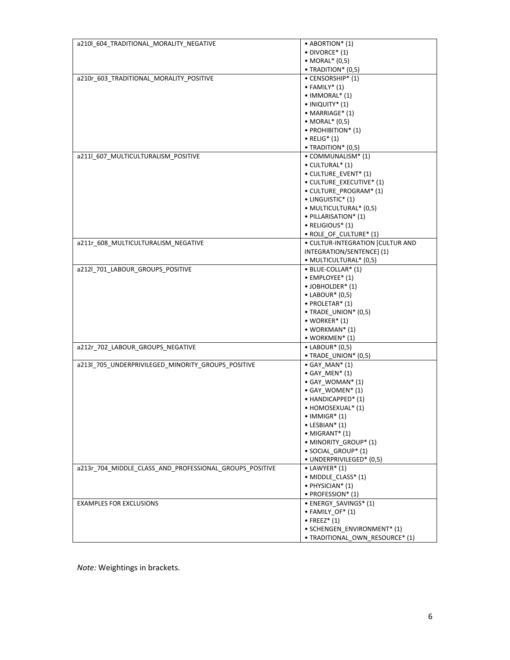| a210l_604_TRADITIONAL_MORALITY_NEGATIVE                 | $\bullet$ ABORTION* (1)          |
|---------------------------------------------------------|----------------------------------|
|                                                         | $\bullet$ DIVORCE* (1)           |
|                                                         | • MORAL* (0,5)                   |
|                                                         | $\bullet$ TRADITION* (0,5)       |
| a210r_603_TRADITIONAL_MORALITY_POSITIVE                 | • CENSORSHIP* (1)                |
|                                                         | $\bullet$ FAMILY* (1)            |
|                                                         | $\bullet$ IMMORAL $^*$ (1)       |
|                                                         | $\bullet$ INIQUITY* (1)          |
|                                                         | • MARRIAGE* (1)                  |
|                                                         | $\bullet$ MORAL $*$ (0,5)        |
|                                                         |                                  |
|                                                         | · PROHIBITION* (1)               |
|                                                         | $\bullet$ RELIG <sup>*</sup> (1) |
|                                                         | • TRADITION* (0,5)               |
| a211l_607_MULTICULTURALISM_POSITIVE                     | • COMMUNALISM* (1)               |
|                                                         | • CULTURAL* (1)                  |
|                                                         | · CULTURE_EVENT* (1)             |
|                                                         | · CULTURE_EXECUTIVE* (1)         |
|                                                         | • CULTURE_PROGRAM* (1)           |
|                                                         | • LINGUISTIC* (1)                |
|                                                         | · MULTICULTURAL* (0,5)           |
|                                                         | · PILLARISATION* (1)             |
|                                                         | $\bullet$ RELIGIOUS* (1)         |
|                                                         | • ROLE_OF_CULTURE* (1)           |
| a211r_608_MULTICULTURALISM_NEGATIVE                     | · CULTUR-INTEGRATION [CULTUR AND |
|                                                         | INTEGRATION/SENTENCE] (1)        |
|                                                         | · MULTICULTURAL* (0,5)           |
| a212l_701_LABOUR_GROUPS_POSITIVE                        | • BLUE-COLLAR* (1)               |
|                                                         | • EMPLOYEE* (1)                  |
|                                                         | • JOBHOLDER* (1)                 |
|                                                         |                                  |
|                                                         | $\bullet$ LABOUR* (0,5)          |
|                                                         | • PROLETAR* (1)                  |
|                                                         | · TRADE_UNION* (0,5)             |
|                                                         | $\bullet$ WORKER* (1)            |
|                                                         | $\bullet$ WORKMAN* (1)           |
|                                                         | $\bullet$ WORKMEN* (1)           |
| a212r_702_LABOUR_GROUPS_NEGATIVE                        | $\bullet$ LABOUR* (0,5)          |
|                                                         | $\bullet$ TRADE_UNION* (0,5)     |
| a213l_705_UNDERPRIVILEGED_MINORITY_GROUPS_POSITIVE      | $\bullet$ GAY_MAN* $(1)$         |
|                                                         | $\bullet$ GAY_MEN* $(1)$         |
|                                                         | • GAY_WOMAN* (1)                 |
|                                                         | · GAY_WOMEN* (1)                 |
|                                                         | • HANDICAPPED* (1)               |
|                                                         | • HOMOSEXUAL* (1)                |
|                                                         | $\bullet$ IMMIGR* (1)            |
|                                                         | $\bullet$ LESBIAN* (1)           |
|                                                         | $\bullet$ MIGRANT* (1)           |
|                                                         | · MINORITY GROUP* (1)            |
|                                                         | · SOCIAL_GROUP* (1)              |
|                                                         | · UNDERPRIVILEGED* (0,5)         |
| a213r_704_MIDDLE_CLASS_AND_PROFESSIONAL_GROUPS_POSITIVE | $\bullet$ LAWYER* (1)            |
|                                                         | • MIDDLE CLASS* (1)              |
|                                                         | · PHYSICIAN* (1)                 |
|                                                         |                                  |
|                                                         | · PROFESSION* (1)                |
| <b>EXAMPLES FOR EXCLUSIONS</b>                          | • ENERGY SAVINGS* (1)            |
|                                                         | $\bullet$ FAMILY_OF* (1)         |
|                                                         | $\bullet$ FREEZ* (1)             |
|                                                         | · SCHENGEN_ENVIRONMENT* (1)      |
|                                                         | · TRADITIONAL_OWN_RESOURCE* (1)  |

*Note:* Weightings in brackets.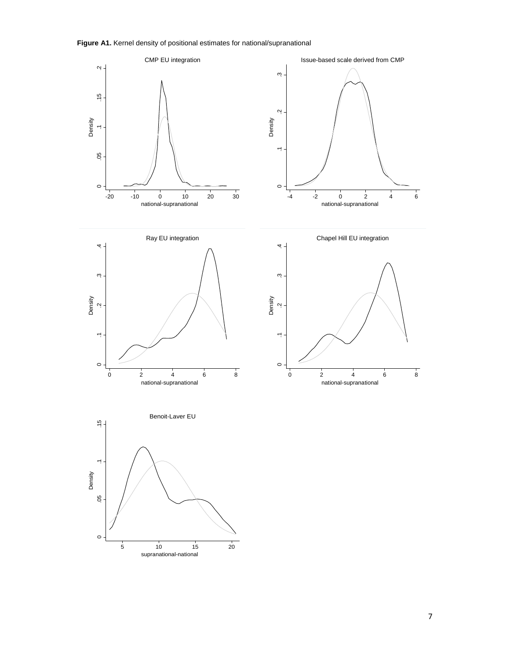**Figure A1.** Kernel density of positional estimates for national/supranational



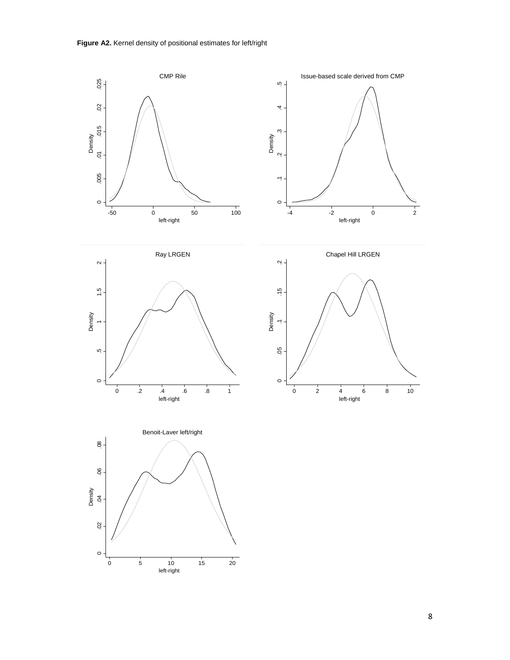**Figure A2.** Kernel density of positional estimates for left/right